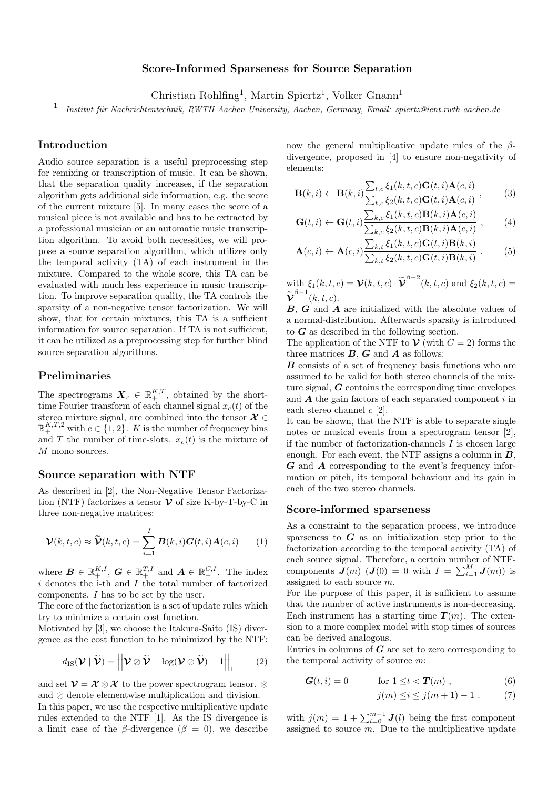# Score-Informed Sparseness for Source Separation

Christian Rohlfing<sup>1</sup>, Martin Spiertz<sup>1</sup>, Volker Gnann<sup>1</sup>

1 Institut für Nachrichtentechnik, RWTH Aachen University, Aachen, Germany, Email: spiertz@ient.rwth-aachen.de

# Introduction

Audio source separation is a useful preprocessing step for remixing or transcription of music. It can be shown, that the separation quality increases, if the separation algorithm gets additional side information, e.g. the score of the current mixture [5]. In many cases the score of a musical piece is not available and has to be extracted by a professional musician or an automatic music transcription algorithm. To avoid both necessities, we will propose a source separation algorithm, which utilizes only the temporal activity (TA) of each instrument in the mixture. Compared to the whole score, this TA can be evaluated with much less experience in music transcription. To improve separation quality, the TA controls the sparsity of a non-negative tensor factorization. We will show, that for certain mixtures, this TA is a sufficient information for source separation. If TA is not sufficient, it can be utilized as a preprocessing step for further blind source separation algorithms.

# Preliminaries

The spectrograms  $\mathbf{X}_c \in \mathbb{R}_+^{K,T}$ , obtained by the shorttime Fourier transform of each channel signal  $x_c(t)$  of the stereo mixture signal, are combined into the tensor  $\mathcal{X} \in$  $\mathbb{R}^{K,T,2}_+$  with  $c \in \{1,2\}$ . K is the number of frequency bins and T the number of time-slots.  $x_c(t)$  is the mixture of M mono sources.

#### Source separation with NTF

As described in [2], the Non-Negative Tensor Factorization (NTF) factorizes a tensor  $\mathcal V$  of size K-by-T-by-C in three non-negative matrices:

$$
\mathcal{V}(k,t,c) \approx \widetilde{\mathcal{V}}(k,t,c) = \sum_{i=1}^{I} \boldsymbol{B}(k,i) \boldsymbol{G}(t,i) \boldsymbol{A}(c,i) \qquad (1)
$$

where  $\mathbf{B} \in \mathbb{R}_{+}^{K,I}$ ,  $\mathbf{G} \in \mathbb{R}_{+}^{T,I}$  and  $\mathbf{A} \in \mathbb{R}_{+}^{C,I}$ . The index  $i$  denotes the i-th and  $I$  the total number of factorized components. I has to be set by the user.

The core of the factorization is a set of update rules which try to minimize a certain cost function.

Motivated by [3], we choose the Itakura-Saito (IS) divergence as the cost function to be minimized by the NTF:

$$
d_{\mathrm{IS}}(\mathcal{V} \mid \widetilde{\mathcal{V}}) = \left\| \mathcal{V} \oslash \widetilde{\mathcal{V}} - \log(\mathcal{V} \oslash \widetilde{\mathcal{V}}) - 1 \right\|_1 \qquad (2)
$$

and set  $\mathcal{V} = \mathcal{X} \otimes \mathcal{X}$  to the power spectrogram tensor.  $\otimes$ and  $\oslash$  denote elementwise multiplication and division.

In this paper, we use the respective multiplicative update rules extended to the NTF [1]. As the IS divergence is a limit case of the  $\beta$ -divergence  $(\beta = 0)$ , we describe now the general multiplicative update rules of the  $\beta$ divergence, proposed in [4] to ensure non-negativity of elements:

$$
\mathbf{B}(k,i) \leftarrow \mathbf{B}(k,i) \frac{\sum_{t,c} \xi_1(k,t,c) \mathbf{G}(t,i) \mathbf{A}(c,i)}{\sum_{t,c} \xi_2(k,t,c) \mathbf{G}(t,i) \mathbf{A}(c,i)},
$$
(3)

$$
\mathbf{G}(t,i) \leftarrow \mathbf{G}(t,i) \frac{\sum_{k,c} \xi_1(k,t,c) \mathbf{B}(k,i) \mathbf{A}(c,i)}{\sum_{k,c} \xi_2(k,t,c) \mathbf{B}(k,i) \mathbf{A}(c,i)},
$$
(4)

$$
\mathbf{A}(c,i) \leftarrow \mathbf{A}(c,i) \frac{\sum_{k,t} \xi_1(k,t,c) \mathbf{G}(t,i) \mathbf{B}(k,i)}{\sum_{k,t} \xi_2(k,t,c) \mathbf{G}(t,i) \mathbf{B}(k,i)}.
$$
 (5)

with  $\xi_1(k,t,c) = \mathcal{V}(k,t,c) \cdot \widetilde{\mathcal{V}}^{\beta-2}(k,t,c)$  and  $\xi_2(k,t,c) = \widetilde{\mathcal{V}}^{\beta-1}(k,t,c)$  $\widetilde{\mathbf{v}}^{\beta-1}(k,t,c)$ .

B, G and A are initialized with the absolute values of a normal-distribution. Afterwards sparsity is introduced to  $G$  as described in the following section.

The application of the NTF to  $\mathcal V$  (with  $C=2$ ) forms the three matrices  $B, G$  and  $A$  as follows:

B consists of a set of frequency basis functions who are assumed to be valid for both stereo channels of the mixture signal,  $G$  contains the corresponding time envelopes and  $\boldsymbol{A}$  the gain factors of each separated component i in each stereo channel  $c$  [2].

It can be shown, that the NTF is able to separate single notes or musical events from a spectrogram tensor [2], if the number of factorization-channels  $I$  is chosen large enough. For each event, the NTF assigns a column in  $B$ , G and A corresponding to the event's frequency information or pitch, its temporal behaviour and its gain in each of the two stereo channels.

#### Score-informed sparseness

As a constraint to the separation process, we introduce sparseness to  $G$  as an initialization step prior to the factorization according to the temporal activity (TA) of each source signal. Therefore, a certain number of NTFcomponents  $\mathbf{J}(m)$  ( $\mathbf{J}(0) = 0$  with  $I = \sum_{i=1}^{M} \mathbf{J}(m)$ ) is assigned to each source m.

For the purpose of this paper, it is sufficient to assume that the number of active instruments is non-decreasing. Each instrument has a starting time  $T(m)$ . The extension to a more complex model with stop times of sources can be derived analogous.

Entries in columns of  $G$  are set to zero corresponding to the temporal activity of source  $m$ :

$$
G(t,i) = 0 \qquad \text{for } 1 \le t < T(m) , \qquad (6)
$$

$$
j(m) \le i \le j(m+1) - 1 . \tag{7}
$$

with  $j(m) = 1 + \sum_{l=0}^{m-1} J(l)$  being the first component assigned to source  $m$ . Due to the multiplicative update